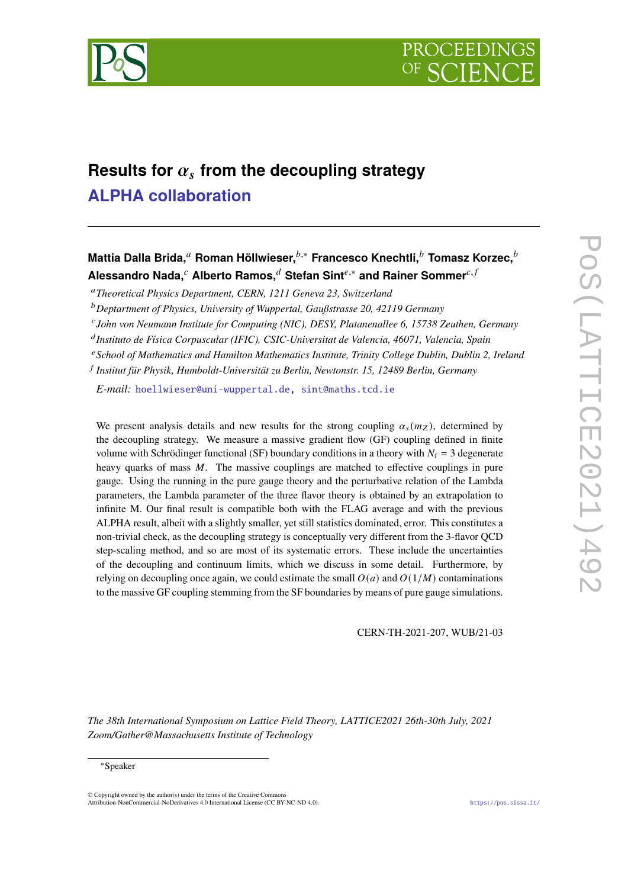

# Results for  $\alpha_s$  from the decoupling strategy **[ALPHA collaboration](https://www-zeuthen.desy.de/alpha/)**

**Mattia Dalla Brida.**<sup>a</sup> Roman Höllwieser.<sup>*b*,∗</sup> Francesco Knechtli.<sup>*b*</sup> Tomasz Korzec.<sup>*b*</sup> **Alessandro Nada,<sup>***c***</sup> Alberto Ramos,<sup>***d***</sup> Stefan Sint<sup>e,∗</sup> and Rainer Sommer<sup>c, f</sup>** 

<sup>𝑎</sup>*Theoretical Physics Department, CERN, 1211 Geneva 23, Switzerland*

<sup>𝑏</sup>*Deptartment of Physics, University of Wuppertal, Gaußstrasse 20, 42119 Germany*

<sup>c</sup> John von Neumann Institute for Computing (NIC), DESY, Platanenallee 6, 15738 Zeuthen, Germany

<sup>d</sup> Instituto de Física Corpuscular (IFIC), CSIC-Universitat de Valencia, 46071, Valencia, Spain

<sup>𝑒</sup>*School of Mathematics and Hamilton Mathematics Institute, Trinity College Dublin, Dublin 2, Ireland*

𝑓 *Institut für Physik, Humboldt-Universität zu Berlin, Newtonstr. 15, 12489 Berlin, Germany*

*E-mail:* [hoellwieser@uni-wuppertal.de,](mailto:hoellwieser@uni-wuppertal.de) [sint@maths.tcd.ie](mailto:sint@maths.tcd.ie)

We present analysis details and new results for the strong coupling  $\alpha_s(m_z)$ , determined by the decoupling strategy. We measure a massive gradient flow (GF) coupling defined in finite volume with Schrödinger functional (SF) boundary conditions in a theory with  $N_f = 3$  degenerate heavy quarks of mass  $M$ . The massive couplings are matched to effective couplings in pure gauge. Using the running in the pure gauge theory and the perturbative relation of the Lambda parameters, the Lambda parameter of the three flavor theory is obtained by an extrapolation to infinite M. Our final result is compatible both with the FLAG average and with the previous ALPHA result, albeit with a slightly smaller, yet still statistics dominated, error. This constitutes a non-trivial check, as the decoupling strategy is conceptually very different from the 3-flavor QCD step-scaling method, and so are most of its systematic errors. These include the uncertainties of the decoupling and continuum limits, which we discuss in some detail. Furthermore, by relying on decoupling once again, we could estimate the small  $O(a)$  and  $O(1/M)$  contaminations to the massive GF coupling stemming from the SF boundaries by means of pure gauge simulations.

CERN-TH-2021-207, WUB/21-03

*The 38th International Symposium on Lattice Field Theory, LATTICE2021 26th-30th July, 2021 Zoom/Gather@Massachusetts Institute of Technology*

© Copyright owned by the author(s) under the terms of the Creative Commons Attribution-NonCommercial-NoDerivatives 4.0 International License (CC BY-NC-ND 4.0). <https://pos.sissa.it/>

<sup>∗</sup>Speaker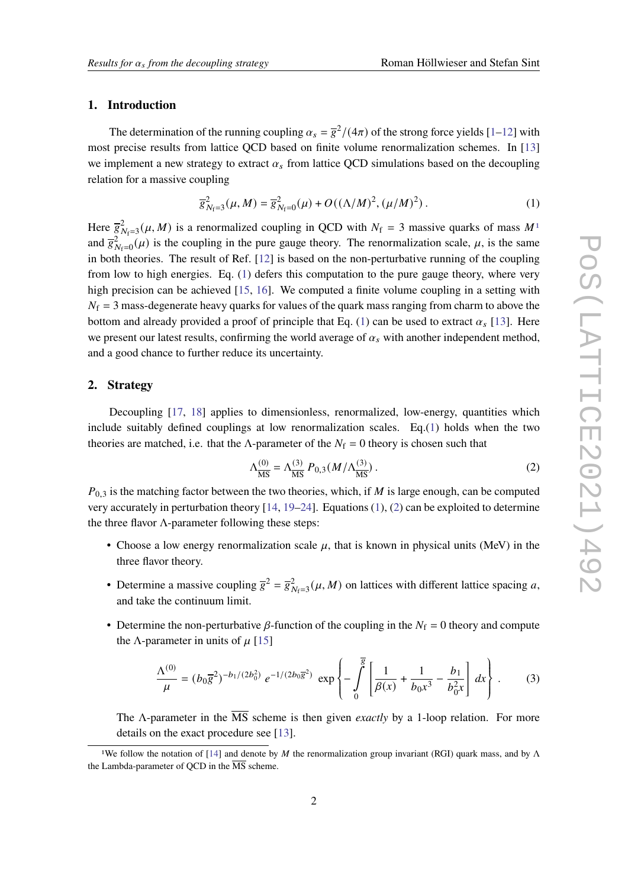#### **1. Introduction**

The determination of the running coupling  $\alpha_s = \overline{g}^2/(4\pi)$  of the strong force yields [\[1–](#page-6-0)[12\]](#page-7-0) with most precise results from lattice QCD based on finite volume renormalization schemes. In [\[13\]](#page-7-1) we implement a new strategy to extract  $\alpha_s$  from lattice QCD simulations based on the decoupling relation for a massive coupling

<span id="page-1-1"></span>
$$
\overline{g}_{N_f=3}^2(\mu, M) = \overline{g}_{N_f=0}^2(\mu) + O((\Lambda/M)^2, (\mu/M)^2).
$$
 (1)

Here  $\overline{g}_{N_f=3}^2(\mu, M)$  is a renormalized coupling in QCD with  $N_f = 3$  massive quarks of mass  $M^1$  $M^1$ and  $\overline{g}_{N_f=0}^2(\mu)$  is the coupling in the pure gauge theory. The renormalization scale,  $\mu$ , is the same in both theories. The result of Ref. [\[12\]](#page-7-0) is based on the non-perturbative running of the coupling from low to high energies. Eq. [\(1\)](#page-1-1) defers this computation to the pure gauge theory, where very high precision can be achieved [\[15,](#page-7-2) [16\]](#page-8-0). We computed a finite volume coupling in a setting with  $N_f = 3$  mass-degenerate heavy quarks for values of the quark mass ranging from charm to above the bottom and already provided a proof of principle that Eq. [\(1\)](#page-1-1) can be used to extract  $\alpha_s$  [\[13\]](#page-7-1). Here we present our latest results, confirming the world average of  $\alpha_s$  with another independent method, and a good chance to further reduce its uncertainty.

### **2. Strategy**

Decoupling [\[17,](#page-8-1) [18\]](#page-8-2) applies to dimensionless, renormalized, low-energy, quantities which include suitably defined couplings at low renormalization scales. Eq.[\(1\)](#page-1-1) holds when the two theories are matched, i.e. that the  $\Lambda$ -parameter of the  $N_f = 0$  theory is chosen such that

<span id="page-1-2"></span>
$$
\Lambda_{\overline{\rm MS}}^{(0)} = \Lambda_{\overline{\rm MS}}^{(3)} P_{0,3}(M/\Lambda_{\overline{\rm MS}}^{(3)})\,. \tag{2}
$$

 $P_{0,3}$  is the matching factor between the two theories, which, if M is large enough, can be computed very accurately in perturbation theory  $[14, 19-24]$  $[14, 19-24]$  $[14, 19-24]$  $[14, 19-24]$ . Equations  $(1)$ ,  $(2)$  can be exploited to determine the three flavor  $\Lambda$ -parameter following these steps:

- Choose a low energy renormalization scale  $\mu$ , that is known in physical units (MeV) in the three flavor theory.
- Determine a massive coupling  $\overline{g}^2 = \overline{g}_{N_f=3}^2(\mu, M)$  on lattices with different lattice spacing a, and take the continuum limit.
- Determine the non-perturbative  $\beta$ -function of the coupling in the  $N_f = 0$  theory and compute the  $\Lambda$ -parameter in units of  $\mu$  [\[15\]](#page-7-2)

<span id="page-1-3"></span>
$$
\frac{\Lambda^{(0)}}{\mu} = (b_0 \overline{g}^2)^{-b_1/(2b_0^2)} e^{-1/(2b_0 \overline{g}^2)} \exp\left\{-\int_0^{\overline{g}} \left[\frac{1}{\beta(x)} + \frac{1}{b_0 x^3} - \frac{b_1}{b_0^2 x}\right] dx\right\}.
$$
 (3)

The Λ-parameter in the MS scheme is then given *exactly* by a 1-loop relation. For more details on the exact procedure see [\[13\]](#page-7-1).

<span id="page-1-0"></span><sup>&</sup>lt;sup>1</sup>We follow the notation of [\[14\]](#page-7-3) and denote by *M* the renormalization group invariant (RGI) quark mass, and by  $\Lambda$ the Lambda-parameter of QCD in the  $\overline{\text{MS}}$  scheme.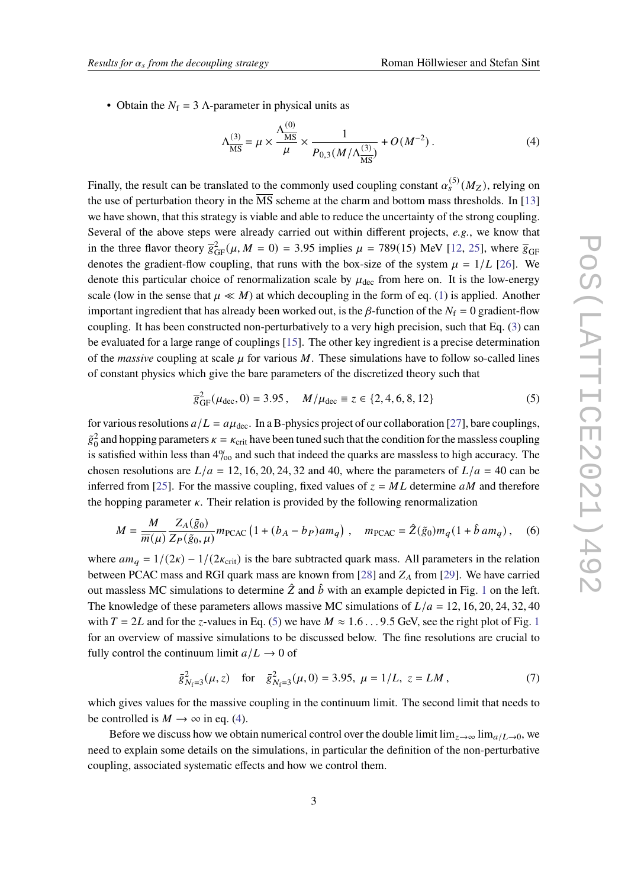• Obtain the  $N_f = 3$   $\Lambda$ -parameter in physical units as

<span id="page-2-1"></span>
$$
\Lambda_{\overline{\rm MS}}^{(3)} = \mu \times \frac{\Lambda_{\overline{\rm MS}}^{(0)}}{\mu} \times \frac{1}{P_{0,3}(M/\Lambda_{\overline{\rm MS}}^{(3)})} + O(M^{-2}).
$$
 (4)

Finally, the result can be translated to the commonly used coupling constant  $\alpha_s^{(5)}(M_Z)$ , relying on the use of perturbation theory in the  $\overline{\text{MS}}$  scheme at the charm and bottom mass thresholds. In [\[13\]](#page-7-1) we have shown, that this strategy is viable and able to reduce the uncertainty of the strong coupling. Several of the above steps were already carried out within different projects, *e.g.*, we know that in the three flavor theory  $\overline{g}_{GF}^2(\mu, M = 0) = 3.95$  implies  $\mu = 789(15)$  MeV [\[12,](#page-7-0) [25\]](#page-8-5), where  $\overline{g}_{GF}$ denotes the gradient-flow coupling, that runs with the box-size of the system  $\mu = 1/L$  [\[26\]](#page-8-6). We denote this particular choice of renormalization scale by  $\mu_{\text{dec}}$  from here on. It is the low-energy scale (low in the sense that  $\mu \ll M$ ) at which decoupling in the form of eq. [\(1\)](#page-1-1) is applied. Another important ingredient that has already been worked out, is the  $\beta$ -function of the  $N_f = 0$  gradient-flow coupling. It has been constructed non-perturbatively to a very high precision, such that Eq. [\(3\)](#page-1-3) can be evaluated for a large range of couplings [\[15\]](#page-7-2). The other key ingredient is a precise determination of the *massive* coupling at scale  $\mu$  for various M. These simulations have to follow so-called lines of constant physics which give the bare parameters of the discretized theory such that

<span id="page-2-0"></span>
$$
\overline{g}_{GF}^{2}(\mu_{dec}, 0) = 3.95, \quad M/\mu_{dec} \equiv z \in \{2, 4, 6, 8, 12\}
$$
 (5)

for various resolutions  $a/L = a\mu_{\text{dec}}$ . In a B-physics project of our collaboration [\[27\]](#page-8-7), bare couplings,  $\tilde{g}_0^2$  and hopping parameters  $\kappa = \kappa_{crit}$  have been tuned such that the condition for the massless coupling is satisfied within less than  $4\%$  and such that indeed the quarks are massless to high accuracy. The chosen resolutions are  $L/a = 12, 16, 20, 24, 32$  and 40, where the parameters of  $L/a = 40$  can be inferred from [\[25\]](#page-8-5). For the massive coupling, fixed values of  $z = ML$  determine aM and therefore the hopping parameter  $\kappa$ . Their relation is provided by the following renormalization

$$
M = \frac{M}{\overline{m}(\mu)} \frac{Z_A(\tilde{g}_0)}{Z_P(\tilde{g}_0, \mu)} m_{\text{PCAC}} \left( 1 + (b_A - b_P) a m_q \right) , \quad m_{\text{PCAC}} = \hat{Z}(\tilde{g}_0) m_q (1 + \hat{b} a m_q) , \quad (6)
$$

where  $am_q = 1/(2\kappa) - 1/(2\kappa_{\text{crit}})$  is the bare subtracted quark mass. All parameters in the relation between PCAC mass and RGI quark mass are known from [\[28\]](#page-8-8) and  $Z_A$  from [\[29\]](#page-8-9). We have carried out massless MC simulations to determine  $\hat{Z}$  and  $\hat{b}$  with an example depicted in Fig. [1](#page-3-0) on the left. The knowledge of these parameters allows massive MC simulations of  $L/a = 12, 16, 20, 24, 32, 40$ with  $T = 2L$  and for the z-values in Eq. [\(5\)](#page-2-0) we have  $M \approx 1.6...9.5$  $M \approx 1.6...9.5$  $M \approx 1.6...9.5$  GeV, see the right plot of Fig. 1 for an overview of massive simulations to be discussed below. The fine resolutions are crucial to fully control the continuum limit  $a/L \rightarrow 0$  of

$$
\bar{g}_{N_f=3}^2(\mu, z) \quad \text{for} \quad \bar{g}_{N_f=3}^2(\mu, 0) = 3.95, \ \mu = 1/L, \ z = LM \,, \tag{7}
$$

which gives values for the massive coupling in the continuum limit. The second limit that needs to be controlled is  $M \to \infty$  in eq. [\(4\)](#page-2-1).

Before we discuss how we obtain numerical control over the double limit  $\lim_{z\to\infty} \lim_{a\to a}$ , we need to explain some details on the simulations, in particular the definition of the non-perturbative coupling, associated systematic effects and how we control them.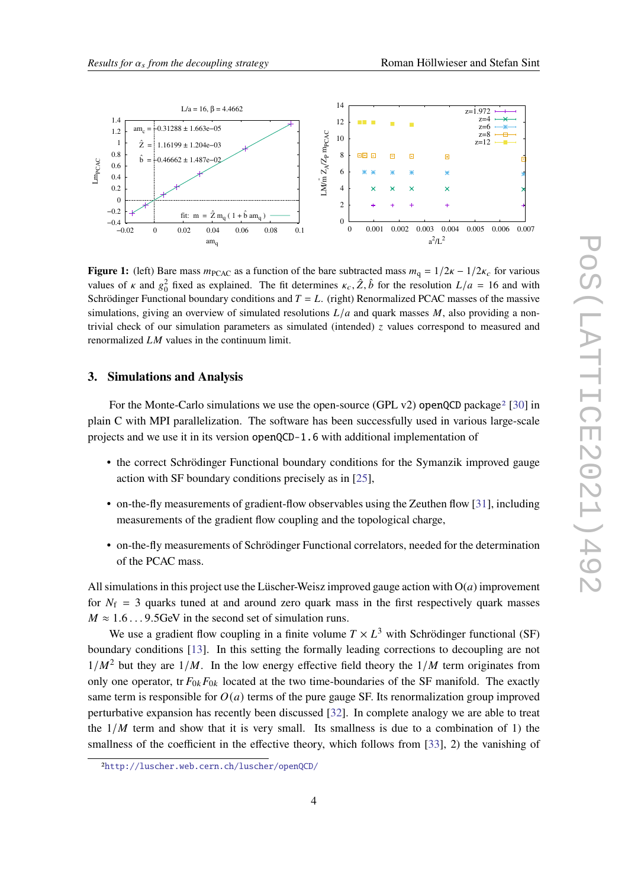<span id="page-3-0"></span>

**Figure 1:** (left) Bare mass  $m_{\text{PCAC}}$  as a function of the bare subtracted mass  $m_q = 1/2\kappa - 1/2\kappa_c$  for various values of  $\kappa$  and  $g_0^2$  fixed as explained. The fit determines  $\kappa_c$ ,  $\hat{Z}$ ,  $\hat{b}$  for the resolution  $L/a = 16$  and with Schrödinger Functional boundary conditions and  $T = L$ . (right) Renormalized PCAC masses of the massive simulations, giving an overview of simulated resolutions  $L/a$  and quark masses M, also providing a nontrivial check of our simulation parameters as simulated (intended)  $\zeta$  values correspond to measured and renormalized  $LM$  values in the continuum limit.

### **3. Simulations and Analysis**

For the Monte-Carlo simulations we use the open-source (GPL v[2](#page-3-1)) openQCD package<sup>2</sup> [\[30\]](#page-8-10) in plain C with MPI parallelization. The software has been successfully used in various large-scale projects and we use it in its version openQCD-1.6 with additional implementation of

- the correct Schrödinger Functional boundary conditions for the Symanzik improved gauge action with SF boundary conditions precisely as in [\[25\]](#page-8-5),
- on-the-fly measurements of gradient-flow observables using the Zeuthen flow [\[31\]](#page-9-0), including measurements of the gradient flow coupling and the topological charge,
- on-the-fly measurements of Schrödinger Functional correlators, needed for the determination of the PCAC mass.

All simulations in this project use the Lüscher-Weisz improved gauge action with  $O(a)$  improvement for  $N_f$  = 3 quarks tuned at and around zero quark mass in the first respectively quark masses  $M \approx 1.6...9.5$  GeV in the second set of simulation runs.

We use a gradient flow coupling in a finite volume  $T \times L^3$  with Schrödinger functional (SF) boundary conditions [\[13\]](#page-7-1). In this setting the formally leading corrections to decoupling are not  $1/M^2$  but they are  $1/M$ . In the low energy effective field theory the  $1/M$  term originates from only one operator, tr  $F_{0k}F_{0k}$  located at the two time-boundaries of the SF manifold. The exactly same term is responsible for  $O(a)$  terms of the pure gauge SF. Its renormalization group improved perturbative expansion has recently been discussed [\[32\]](#page-9-1). In complete analogy we are able to treat the  $1/M$  term and show that it is very small. Its smallness is due to a combination of 1) the smallness of the coefficient in the effective theory, which follows from [\[33\]](#page-9-2), 2) the vanishing of

<span id="page-3-1"></span><sup>2</sup><http://luscher.web.cern.ch/luscher/openQCD/>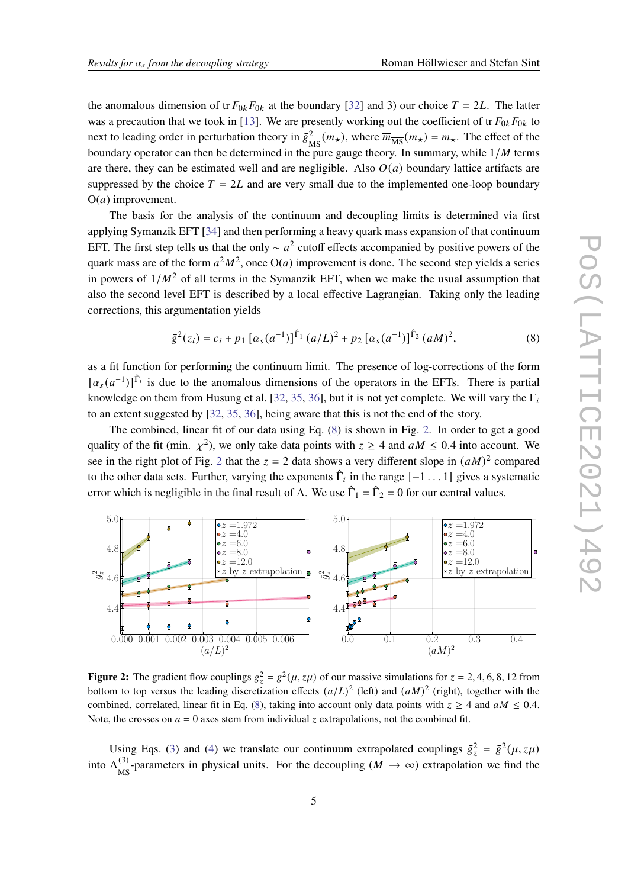the anomalous dimension of tr  $F_{0k}F_{0k}$  at the boundary [\[32\]](#page-9-1) and 3) our choice  $T = 2L$ . The latter was a precaution that we took in [\[13\]](#page-7-1). We are presently working out the coefficient of tr  $F_{0k}F_{0k}$  to next to leading order in perturbation theory in  $\bar{g}^2$  $\frac{2}{\text{MS}}(m_{\star})$ , where  $\overline{m}_{\overline{\text{MS}}}(m_{\star}) = m_{\star}$ . The effect of the boundary operator can then be determined in the pure gauge theory. In summary, while  $1/M$  terms are there, they can be estimated well and are negligible. Also  $O(a)$  boundary lattice artifacts are suppressed by the choice  $T = 2L$  and are very small due to the implemented one-loop boundary  $O(a)$  improvement.

The basis for the analysis of the continuum and decoupling limits is determined via first applying Symanzik EFT [\[34\]](#page-9-3) and then performing a heavy quark mass expansion of that continuum EFT. The first step tells us that the only  $\sim a^2$  cutoff effects accompanied by positive powers of the quark mass are of the form  $a^2M^2$ , once O(*a*) improvement is done. The second step yields a series in powers of  $1/M^2$  of all terms in the Symanzik EFT, when we make the usual assumption that also the second level EFT is described by a local effective Lagrangian. Taking only the leading corrections, this argumentation yields

<span id="page-4-0"></span>
$$
\bar{g}^{2}(z_{i}) = c_{i} + p_{1} \left[ \alpha_{s}(a^{-1}) \right]^{\hat{\Gamma}_{1}} (a/L)^{2} + p_{2} \left[ \alpha_{s}(a^{-1}) \right]^{\hat{\Gamma}_{2}} (aM)^{2}, \tag{8}
$$

as a fit function for performing the continuum limit. The presence of log-corrections of the form  $[\alpha_s(a^{-1})]^{\hat{\Gamma}_i}$  is due to the anomalous dimensions of the operators in the EFTs. There is partial knowledge on them from Husung et al. [\[32,](#page-9-1) [35,](#page-9-4) [36\]](#page-9-5), but it is not yet complete. We will vary the  $\Gamma_i$ to an extent suggested by [\[32,](#page-9-1) [35,](#page-9-4) [36\]](#page-9-5), being aware that this is not the end of the story.

The combined, linear fit of our data using Eq. [\(8\)](#page-4-0) is shown in Fig. [2.](#page-4-1) In order to get a good quality of the fit (min.  $\chi^2$ ), we only take data points with  $z \ge 4$  and  $aM \le 0.4$  into account. We see in the right plot of Fig. [2](#page-4-1) that the  $z = 2$  data shows a very different slope in  $(aM)^2$  compared to the other data sets. Further, varying the exponents  $\hat{\Gamma}_i$  in the range  $[-1 \dots 1]$  gives a systematic error which is negligible in the final result of  $\Lambda$ . We use  $\hat{\Gamma}_1 = \hat{\Gamma}_2 = 0$  for our central values.

<span id="page-4-1"></span>

**Figure 2:** The gradient flow couplings  $\bar{g}_z^2 = \bar{g}^2(\mu, z\mu)$  of our massive simulations for  $z = 2, 4, 6, 8, 12$  from bottom to top versus the leading discretization effects  $(a/L)^2$  (left) and  $(aM)^2$  (right), together with the combined, correlated, linear fit in Eq. [\(8\)](#page-4-0), taking into account only data points with  $z \ge 4$  and  $aM \le 0.4$ . Note, the crosses on  $a = 0$  axes stem from individual z extrapolations, not the combined fit.

Using Eqs. [\(3\)](#page-1-3) and [\(4\)](#page-2-1) we translate our continuum extrapolated couplings  $\bar{g}_z^2 = \bar{g}^2(\mu, z\mu)$ into  $\Lambda_{\overline{MS}}^{(3)}$  $\frac{(3)}{\text{MS}}$ -parameters in physical units. For the decoupling  $(M \rightarrow \infty)$  extrapolation we find the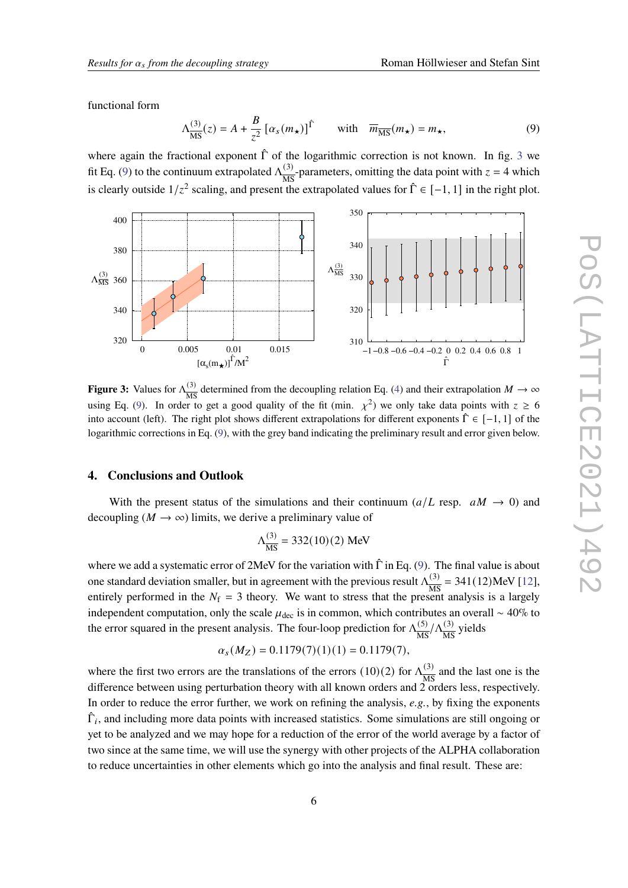functional form

<span id="page-5-1"></span>
$$
\Lambda_{\overline{\rm MS}}^{(3)}(z) = A + \frac{B}{z^2} \left[ \alpha_s(m_\star) \right]^\uparrow \qquad \text{with} \quad \overline{m}_{\overline{\rm MS}}(m_\star) = m_\star,\tag{9}
$$

where again the fractional exponent  $\hat{\Gamma}$  of the logarithmic correction is not known. In fig. [3](#page-5-0) we fit Eq. [\(9\)](#page-5-1) to the continuum extrapolated  $\Lambda_{\overline{\text{MS}}}^{(3)}$  $\frac{(3)}{\text{MS}}$ -parameters, omitting the data point with  $z = 4$  which is clearly outside  $1/z^2$  scaling, and present the extrapolated values for  $\hat{\Gamma} \in [-1, 1]$  in the right plot.

<span id="page-5-0"></span>

**Figure 3:** Values for  $\Lambda_{\overline{MS}}^{(3)}$  $\frac{(3)}{MS}$  determined from the decoupling relation Eq. [\(4\)](#page-2-1) and their extrapolation  $M \to \infty$ using Eq. [\(9\)](#page-5-1). In order to get a good quality of the fit (min.  $\chi^2$ ) we only take data points with  $z \ge 6$ into account (left). The right plot shows different extrapolations for different exponents  $\hat{\Gamma} \in [-1, 1]$  of the logarithmic corrections in Eq. [\(9\)](#page-5-1), with the grey band indicating the preliminary result and error given below.

## **4. Conclusions and Outlook**

With the present status of the simulations and their continuum ( $a/L$  resp.  $aM \rightarrow 0$ ) and decoupling ( $M \rightarrow \infty$ ) limits, we derive a preliminary value of

$$
\Lambda_{\overline{\rm MS}}^{(3)} = 332(10)(2) \text{ MeV}
$$

where we add a systematic error of 2MeV for the variation with  $\hat{\Gamma}$  in Eq. [\(9\)](#page-5-1). The final value is about one standard deviation smaller, but in agreement with the previous result  $\Lambda_{\overline{MS}}^{(3)}$  $\frac{(3)}{\text{MS}}$  = 341(12)MeV [\[12\]](#page-7-0), entirely performed in the  $N_f = 3$  theory. We want to stress that the present analysis is a largely independent computation, only the scale  $\mu_{\text{dec}}$  is in common, which contributes an overall ~ 40% to the error squared in the present analysis. The four-loop prediction for  $\Lambda_{\overline{MS}}^{(5)}$  $\frac{(5)}{\text{MS}} / \Lambda_{\text{MS}}^{(3)}$  $\frac{(3)}{MS}$  yields

$$
\alpha_s(M_Z)=0.1179(7)(1)(1)=0.1179(7),
$$

where the first two errors are the translations of the errors  $(10)(2)$  for  $\Lambda_{\overline{MS}}^{(3)}$  $\frac{(3)}{MS}$  and the last one is the difference between using perturbation theory with all known orders and  $2$  orders less, respectively. In order to reduce the error further, we work on refining the analysis, *e.g.*, by fixing the exponents  $\hat{\Gamma}_i$ , and including more data points with increased statistics. Some simulations are still ongoing or yet to be analyzed and we may hope for a reduction of the error of the world average by a factor of two since at the same time, we will use the synergy with other projects of the ALPHA collaboration to reduce uncertainties in other elements which go into the analysis and final result. These are: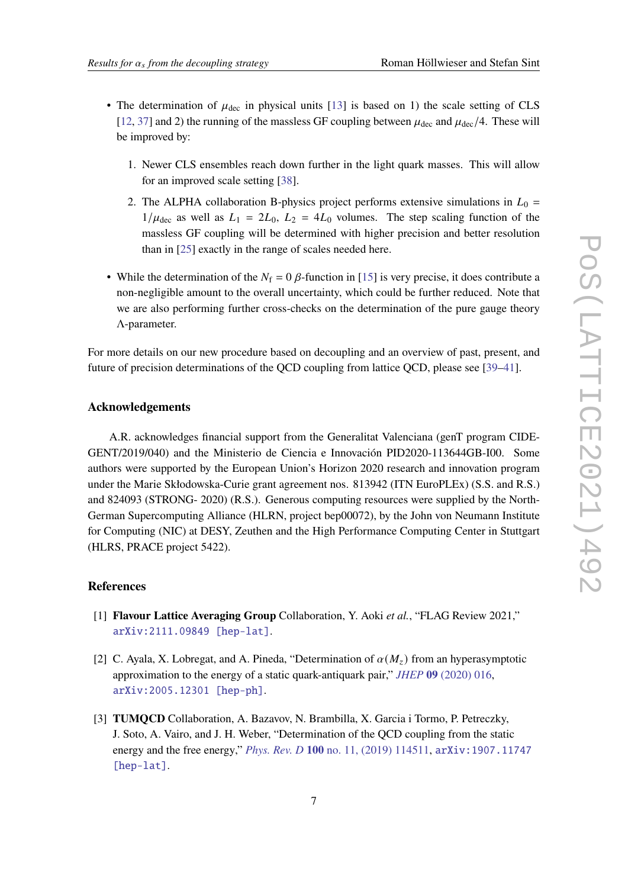- The determination of  $\mu_{\text{dec}}$  in physical units [\[13\]](#page-7-1) is based on 1) the scale setting of CLS [\[12,](#page-7-0) [37\]](#page-9-6) and 2) the running of the massless GF coupling between  $\mu_{\text{dec}}$  and  $\mu_{\text{dec}}/4$ . These will be improved by:
	- 1. Newer CLS ensembles reach down further in the light quark masses. This will allow for an improved scale setting [\[38\]](#page-9-7).
	- 2. The ALPHA collaboration B-physics project performs extensive simulations in  $L_0 =$  $1/\mu_{\text{dec}}$  as well as  $L_1 = 2L_0$ ,  $L_2 = 4L_0$  volumes. The step scaling function of the massless GF coupling will be determined with higher precision and better resolution than in [\[25\]](#page-8-5) exactly in the range of scales needed here.
- While the determination of the  $N_f = 0$   $\beta$ -function in [\[15\]](#page-7-2) is very precise, it does contribute a non-negligible amount to the overall uncertainty, which could be further reduced. Note that we are also performing further cross-checks on the determination of the pure gauge theory Λ-parameter.

For more details on our new procedure based on decoupling and an overview of past, present, and future of precision determinations of the QCD coupling from lattice QCD, please see [\[39](#page-9-8)[–41\]](#page-9-9).

### **Acknowledgements**

A.R. acknowledges financial support from the Generalitat Valenciana (genT program CIDE-GENT/2019/040) and the Ministerio de Ciencia e Innovación PID2020-113644GB-I00. Some authors were supported by the European Union's Horizon 2020 research and innovation program under the Marie Skłodowska-Curie grant agreement nos. 813942 (ITN EuroPLEx) (S.S. and R.S.) and 824093 (STRONG- 2020) (R.S.). Generous computing resources were supplied by the North-German Supercomputing Alliance (HLRN, project bep00072), by the John von Neumann Institute for Computing (NIC) at DESY, Zeuthen and the High Performance Computing Center in Stuttgart (HLRS, PRACE project 5422).

#### **References**

- <span id="page-6-0"></span>[1] **Flavour Lattice Averaging Group** Collaboration, Y. Aoki *et al.*, "FLAG Review 2021," [arXiv:2111.09849 \[hep-lat\]](http://arxiv.org/abs/2111.09849).
- [2] C. Ayala, X. Lobregat, and A. Pineda, "Determination of  $\alpha(M<sub>z</sub>)$  from an hyperasymptotic approximation to the energy of a static quark-antiquark pair," *JHEP* **09** [\(2020\) 016,](http://dx.doi.org/10.1007/JHEP09(2020)016) [arXiv:2005.12301 \[hep-ph\]](http://arxiv.org/abs/2005.12301).
- [3] **TUMQCD** Collaboration, A. Bazavov, N. Brambilla, X. Garcia i Tormo, P. Petreczky, J. Soto, A. Vairo, and J. H. Weber, "Determination of the QCD coupling from the static energy and the free energy," *Phys. Rev. D* **100** [no. 11, \(2019\) 114511,](http://dx.doi.org/10.1103/PhysRevD.100.114511) [arXiv:1907.11747](http://arxiv.org/abs/1907.11747) [\[hep-lat\]](http://arxiv.org/abs/1907.11747).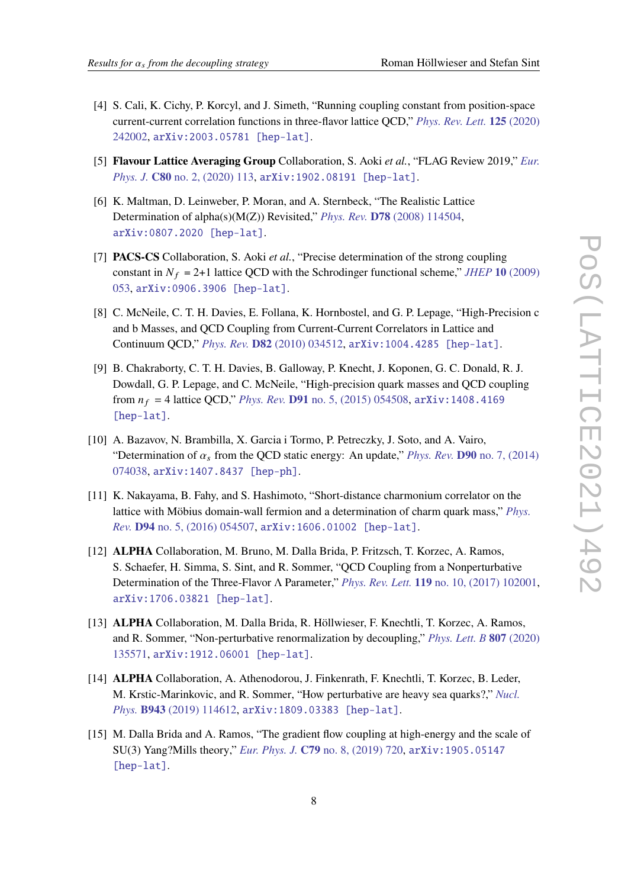- [4] S. Cali, K. Cichy, P. Korcyl, and J. Simeth, "Running coupling constant from position-space current-current correlation functions in three-flavor lattice QCD," *[Phys. Rev. Lett.](http://dx.doi.org/10.1103/PhysRevLett.125.242002)* **125** (2020) [242002,](http://dx.doi.org/10.1103/PhysRevLett.125.242002) [arXiv:2003.05781 \[hep-lat\]](http://arxiv.org/abs/2003.05781).
- [5] **Flavour Lattice Averaging Group** Collaboration, S. Aoki *et al.*, "FLAG Review 2019," *[Eur.](http://dx.doi.org/10.1140/epjc/s10052-019-7354-7) Phys. J.* **C80** [no. 2, \(2020\) 113,](http://dx.doi.org/10.1140/epjc/s10052-019-7354-7) [arXiv:1902.08191 \[hep-lat\]](http://arxiv.org/abs/1902.08191).
- [6] K. Maltman, D. Leinweber, P. Moran, and A. Sternbeck, "The Realistic Lattice Determination of alpha(s)(M(Z)) Revisited," *Phys. Rev.* **D78** [\(2008\) 114504,](http://dx.doi.org/10.1103/PhysRevD.78.114504) [arXiv:0807.2020 \[hep-lat\]](http://arxiv.org/abs/0807.2020).
- [7] **PACS-CS** Collaboration, S. Aoki *et al.*, "Precise determination of the strong coupling constant in  $N_f = 2+1$  lattice OCD with the Schrodinger functional scheme," *JHEP* 10 [\(2009\)](http://dx.doi.org/10.1088/1126-6708/2009/10/053) [053,](http://dx.doi.org/10.1088/1126-6708/2009/10/053) [arXiv:0906.3906 \[hep-lat\]](http://arxiv.org/abs/0906.3906).
- [8] C. McNeile, C. T. H. Davies, E. Follana, K. Hornbostel, and G. P. Lepage, "High-Precision c and b Masses, and QCD Coupling from Current-Current Correlators in Lattice and Continuum QCD," *Phys. Rev.* **D82** [\(2010\) 034512,](http://dx.doi.org/10.1103/PhysRevD.82.034512) [arXiv:1004.4285 \[hep-lat\]](http://arxiv.org/abs/1004.4285).
- [9] B. Chakraborty, C. T. H. Davies, B. Galloway, P. Knecht, J. Koponen, G. C. Donald, R. J. Dowdall, G. P. Lepage, and C. McNeile, "High-precision quark masses and QCD coupling from  $n_f = 4$  lattice QCD," *Phys. Rev.* **D91** [no. 5, \(2015\) 054508,](http://dx.doi.org/10.1103/PhysRevD.91.054508) arXiv: 1408.4169 [\[hep-lat\]](http://arxiv.org/abs/1408.4169).
- [10] A. Bazavov, N. Brambilla, X. Garcia i Tormo, P. Petreczky, J. Soto, and A. Vairo, "Determination of  $\alpha_s$  from the QCD static energy: An update," *Phys. Rev.* **D90** [no. 7, \(2014\)](http://dx.doi.org/10.1103/PhysRevD.90.074038) [074038,](http://dx.doi.org/10.1103/PhysRevD.90.074038) [arXiv:1407.8437 \[hep-ph\]](http://arxiv.org/abs/1407.8437).
- [11] K. Nakayama, B. Fahy, and S. Hashimoto, "Short-distance charmonium correlator on the lattice with Möbius domain-wall fermion and a determination of charm quark mass," *[Phys.](http://dx.doi.org/10.1103/PhysRevD.94.054507) Rev.* **D94** [no. 5, \(2016\) 054507,](http://dx.doi.org/10.1103/PhysRevD.94.054507) [arXiv:1606.01002 \[hep-lat\]](http://arxiv.org/abs/1606.01002).
- <span id="page-7-0"></span>[12] **ALPHA** Collaboration, M. Bruno, M. Dalla Brida, P. Fritzsch, T. Korzec, A. Ramos, S. Schaefer, H. Simma, S. Sint, and R. Sommer, "QCD Coupling from a Nonperturbative Determination of the Three-Flavor Λ Parameter," *Phys. Rev. Lett.* **119** [no. 10, \(2017\) 102001,](http://dx.doi.org/10.1103/PhysRevLett.119.102001) [arXiv:1706.03821 \[hep-lat\]](http://arxiv.org/abs/1706.03821).
- <span id="page-7-1"></span>[13] **ALPHA** Collaboration, M. Dalla Brida, R. Höllwieser, F. Knechtli, T. Korzec, A. Ramos, and R. Sommer, "Non-perturbative renormalization by decoupling," *[Phys. Lett. B](http://dx.doi.org/10.1016/j.physletb.2020.135571)* **807** (2020) [135571,](http://dx.doi.org/10.1016/j.physletb.2020.135571) [arXiv:1912.06001 \[hep-lat\]](http://arxiv.org/abs/1912.06001).
- <span id="page-7-3"></span>[14] **ALPHA** Collaboration, A. Athenodorou, J. Finkenrath, F. Knechtli, T. Korzec, B. Leder, M. Krstic-Marinkovic, and R. Sommer, "How perturbative are heavy sea quarks?," *[Nucl.](http://dx.doi.org/10.1016/j.nuclphysb.2019.114612) Phys.* **B943** [\(2019\) 114612,](http://dx.doi.org/10.1016/j.nuclphysb.2019.114612) [arXiv:1809.03383 \[hep-lat\]](http://arxiv.org/abs/1809.03383).
- <span id="page-7-2"></span>[15] M. Dalla Brida and A. Ramos, "The gradient flow coupling at high-energy and the scale of SU(3) Yang?Mills theory," *Eur. Phys. J.* **C79** [no. 8, \(2019\) 720,](http://dx.doi.org/10.1140/epjc/s10052-019-7228-z) [arXiv:1905.05147](http://arxiv.org/abs/1905.05147) [\[hep-lat\]](http://arxiv.org/abs/1905.05147).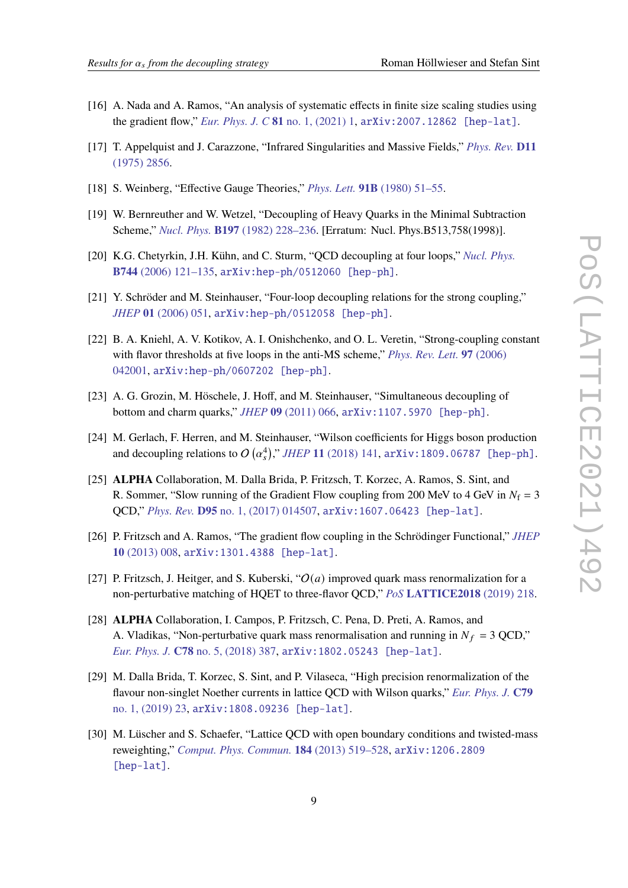- <span id="page-8-0"></span>[16] A. Nada and A. Ramos, "An analysis of systematic effects in finite size scaling studies using the gradient flow," *Eur. Phys. J. C* **81** [no. 1, \(2021\) 1,](http://dx.doi.org/10.1140/epjc/s10052-020-08759-1) [arXiv:2007.12862 \[hep-lat\]](http://arxiv.org/abs/2007.12862).
- <span id="page-8-1"></span>[17] T. Appelquist and J. Carazzone, "Infrared Singularities and Massive Fields," *[Phys. Rev.](http://dx.doi.org/10.1103/PhysRevD.11.2856)* **D11** [\(1975\) 2856.](http://dx.doi.org/10.1103/PhysRevD.11.2856)
- <span id="page-8-2"></span>[18] S. Weinberg, "Effective Gauge Theories," *Phys. Lett.* **91B** [\(1980\) 51–55.](http://dx.doi.org/10.1016/0370-2693(80)90660-7)
- <span id="page-8-3"></span>[19] W. Bernreuther and W. Wetzel, "Decoupling of Heavy Quarks in the Minimal Subtraction Scheme," *Nucl. Phys.* **B197** [\(1982\) 228–236.](http://dx.doi.org/10.1016/0550-3213(82)90288-7, 10.1016/S0550-3213(97)00811-0) [Erratum: Nucl. Phys.B513,758(1998)].
- [20] K.G. Chetyrkin, J.H. Kühn, and C. Sturm, "QCD decoupling at four loops," *[Nucl. Phys.](http://dx.doi.org/10.1016/j.nuclphysb.2006.03.020)* **B744** [\(2006\) 121–135,](http://dx.doi.org/10.1016/j.nuclphysb.2006.03.020) [arXiv:hep-ph/0512060 \[hep-ph\]](http://arxiv.org/abs/hep-ph/0512060).
- [21] Y. Schröder and M. Steinhauser, "Four-loop decoupling relations for the strong coupling," *JHEP* **01** [\(2006\) 051,](http://dx.doi.org/10.1088/1126-6708/2006/01/051) [arXiv:hep-ph/0512058 \[hep-ph\]](http://arxiv.org/abs/hep-ph/0512058).
- [22] B. A. Kniehl, A. V. Kotikov, A. I. Onishchenko, and O. L. Veretin, "Strong-coupling constant with flavor thresholds at five loops in the anti-MS scheme," *[Phys. Rev. Lett.](http://dx.doi.org/10.1103/PhysRevLett.97.042001)* **97** (2006) [042001,](http://dx.doi.org/10.1103/PhysRevLett.97.042001) [arXiv:hep-ph/0607202 \[hep-ph\]](http://arxiv.org/abs/hep-ph/0607202).
- [23] A. G. Grozin, M. Höschele, J. Hoff, and M. Steinhauser, "Simultaneous decoupling of bottom and charm quarks," *JHEP* **09** [\(2011\) 066,](http://dx.doi.org/10.1007/JHEP09(2011)066) [arXiv:1107.5970 \[hep-ph\]](http://arxiv.org/abs/1107.5970).
- <span id="page-8-4"></span>[24] M. Gerlach, F. Herren, and M. Steinhauser, "Wilson coefficients for Higgs boson production and decoupling relations to  $O\left(\alpha_s^4\right)$ ," *JHEP* 11 [\(2018\) 141,](http://dx.doi.org/10.1007/JHEP11(2018)141) [arXiv:1809.06787 \[hep-ph\]](http://arxiv.org/abs/1809.06787).
- <span id="page-8-5"></span>[25] **ALPHA** Collaboration, M. Dalla Brida, P. Fritzsch, T. Korzec, A. Ramos, S. Sint, and R. Sommer, "Slow running of the Gradient Flow coupling from 200 MeV to 4 GeV in  $N_f = 3$ QCD," *Phys. Rev.* **D95** [no. 1, \(2017\) 014507,](http://dx.doi.org/10.1103/PhysRevD.95.014507) [arXiv:1607.06423 \[hep-lat\]](http://arxiv.org/abs/1607.06423).
- <span id="page-8-6"></span>[26] P. Fritzsch and A. Ramos, "The gradient flow coupling in the Schrödinger Functional," *[JHEP](http://dx.doi.org/10.1007/JHEP10(2013)008)* **10** [\(2013\) 008,](http://dx.doi.org/10.1007/JHEP10(2013)008) [arXiv:1301.4388 \[hep-lat\]](http://arxiv.org/abs/1301.4388).
- <span id="page-8-7"></span>[27] P. Fritzsch, J. Heitger, and S. Kuberski, " $O(a)$  improved quark mass renormalization for a non-perturbative matching of HQET to three-flavor QCD," *PoS* **[LATTICE2018](http://dx.doi.org/10.22323/1.334.0218)** (2019) 218.
- <span id="page-8-8"></span>[28] **ALPHA** Collaboration, I. Campos, P. Fritzsch, C. Pena, D. Preti, A. Ramos, and A. Vladikas, "Non-perturbative quark mass renormalisation and running in  $N_f = 3$  QCD," *Eur. Phys. J.* **C78** [no. 5, \(2018\) 387,](http://dx.doi.org/10.1140/epjc/s10052-018-5870-5) [arXiv:1802.05243 \[hep-lat\]](http://arxiv.org/abs/1802.05243).
- <span id="page-8-9"></span>[29] M. Dalla Brida, T. Korzec, S. Sint, and P. Vilaseca, "High precision renormalization of the flavour non-singlet Noether currents in lattice QCD with Wilson quarks," *[Eur. Phys. J.](http://dx.doi.org/10.1140/epjc/s10052-018-6514-5)* **C79** [no. 1, \(2019\) 23,](http://dx.doi.org/10.1140/epjc/s10052-018-6514-5) [arXiv:1808.09236 \[hep-lat\]](http://arxiv.org/abs/1808.09236).
- <span id="page-8-10"></span>[30] M. Lüscher and S. Schaefer, "Lattice QCD with open boundary conditions and twisted-mass reweighting," *[Comput. Phys. Commun.](http://dx.doi.org/10.1016/j.cpc.2012.10.003)* **184** (2013) 519–528, [arXiv:1206.2809](http://arxiv.org/abs/1206.2809) [\[hep-lat\]](http://arxiv.org/abs/1206.2809).